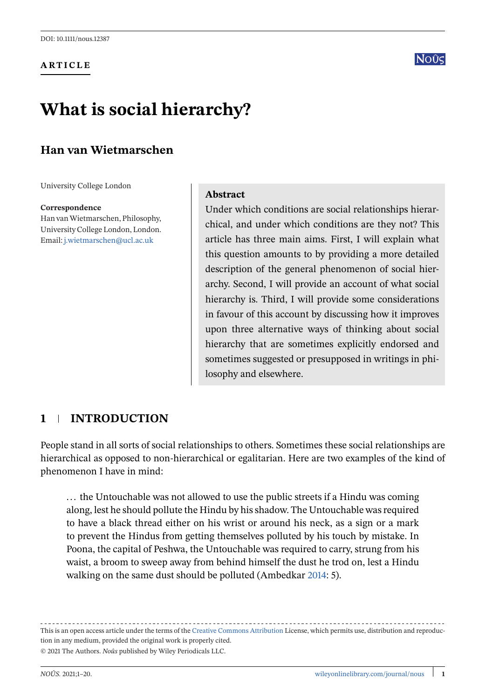**ARTICLE**



# **What is social hierarchy?**

# **Han van Wietmarschen**

University College London

#### **Correspondence**

Han vanWietmarschen, Philosophy, University College London, London. Email: [j.wietmarschen@ucl.ac.uk](mailto:j.wietmarschen@ucl.ac.uk)

## **Abstract**

Under which conditions are social relationships hierarchical, and under which conditions are they not? This article has three main aims. First, I will explain what this question amounts to by providing a more detailed description of the general phenomenon of social hierarchy. Second, I will provide an account of what social hierarchy is. Third, I will provide some considerations in favour of this account by discussing how it improves upon three alternative ways of thinking about social hierarchy that are sometimes explicitly endorsed and sometimes suggested or presupposed in writings in philosophy and elsewhere.

# **1 INTRODUCTION**

People stand in all sorts of social relationships to others. Sometimes these social relationships are hierarchical as opposed to non-hierarchical or egalitarian. Here are two examples of the kind of phenomenon I have in mind:

... the Untouchable was not allowed to use the public streets if a Hindu was coming along, lest he should pollute the Hindu by his shadow. The Untouchable was required to have a black thread either on his wrist or around his neck, as a sign or a mark to prevent the Hindus from getting themselves polluted by his touch by mistake. In Poona, the capital of Peshwa, the Untouchable was required to carry, strung from his waist, a broom to sweep away from behind himself the dust he trod on, lest a Hindu walking on the same dust should be polluted (Ambedkar [2014:](#page-17-0) 5).

This is an open access article under the terms of the [Creative Commons Attribution](http://creativecommons.org/licenses/by/4.0/) License, which permits use, distribution and reproduction in any medium, provided the original work is properly cited. © 2021 The Authors. *Noûs* published by Wiley Periodicals LLC.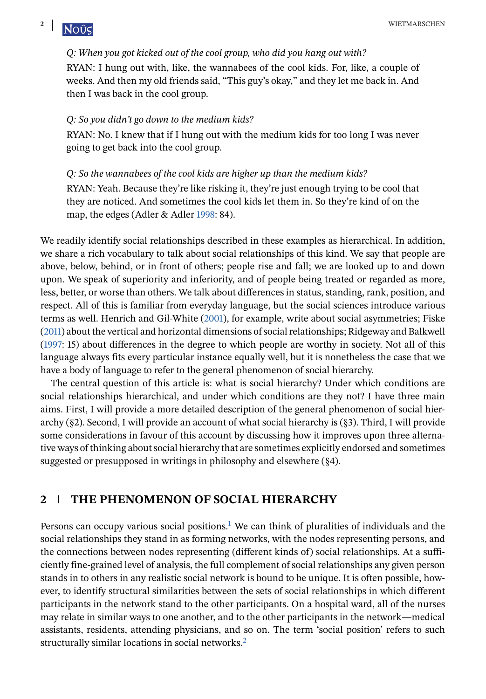#### *Q: When you got kicked out of the cool group, who did you hang out with?*

RYAN: I hung out with, like, the wannabees of the cool kids. For, like, a couple of weeks. And then my old friends said, "This guy's okay," and they let me back in. And then I was back in the cool group.

#### *Q: So you didn't go down to the medium kids?*

RYAN: No. I knew that if I hung out with the medium kids for too long I was never going to get back into the cool group.

#### *Q: So the wannabees of the cool kids are higher up than the medium kids?*

RYAN: Yeah. Because they're like risking it, they're just enough trying to be cool that they are noticed. And sometimes the cool kids let them in. So they're kind of on the map, the edges (Adler & Adler [1998:](#page-17-0) 84).

We readily identify social relationships described in these examples as hierarchical. In addition, we share a rich vocabulary to talk about social relationships of this kind. We say that people are above, below, behind, or in front of others; people rise and fall; we are looked up to and down upon. We speak of superiority and inferiority, and of people being treated or regarded as more, less, better, or worse than others. We talk about differences in status, standing, rank, position, and respect. All of this is familiar from everyday language, but the social sciences introduce various terms as well. Henrich and Gil-White [\(2001\)](#page-18-0), for example, write about social asymmetries; Fiske [\(2011\)](#page-18-0) about the vertical and horizontal dimensions of social relationships; Ridgeway and Balkwell [\(1997:](#page-18-0) 15) about differences in the degree to which people are worthy in society. Not all of this language always fits every particular instance equally well, but it is nonetheless the case that we have a body of language to refer to the general phenomenon of social hierarchy.

The central question of this article is: what is social hierarchy? Under which conditions are social relationships hierarchical, and under which conditions are they not? I have three main aims. First, I will provide a more detailed description of the general phenomenon of social hierarchy (§2). Second, I will provide an account of what social hierarchy is (§3). Third, I will provide some considerations in favour of this account by discussing how it improves upon three alternative ways of thinking about social hierarchy that are sometimes explicitly endorsed and sometimes suggested or presupposed in writings in philosophy and elsewhere (§4).

## **2 THE PHENOMENON OF SOCIAL HIERARCHY**

Persons can occupy various social positions[.](#page-15-0)<sup>1</sup> We can think of pluralities of individuals and the social relationships they stand in as forming networks, with the nodes representing persons, and the connections between nodes representing (different kinds of) social relationships. At a sufficiently fine-grained level of analysis, the full complement of social relationships any given person stands in to others in any realistic social network is bound to be unique. It is often possible, however, to identify structural similarities between the sets of social relationships in which different participants in the network stand to the other participants. On a hospital ward, all of the nurses may relate in similar ways to one another, and to the other participants in the network—medical assistants, residents, attending physicians, and so on. The term 'social position' refers to such structurally similar locations in social networks[.](#page-15-0)<sup>2</sup>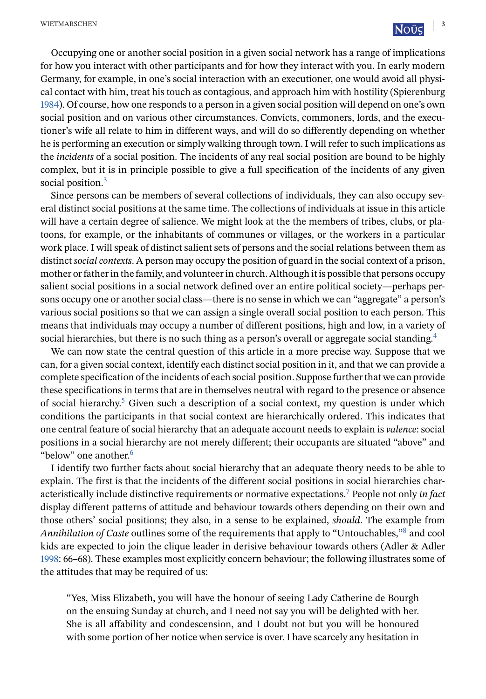Occupying one or another social position in a given social network has a range of implications for how you interact with other participants and for how they interact with you. In early modern Germany, for example, in one's social interaction with an executioner, one would avoid all physical contact with him, treat his touch as contagious, and approach him with hostility (Spierenburg [1984\)](#page-19-0). Of course, how one responds to a person in a given social position will depend on one's own social position and on various other circumstances. Convicts, commoners, lords, and the executioner's wife all relate to him in different ways, and will do so differently depending on whether he is performing an execution or simply walking through town. I will refer to such implications as the *incidents* of a social position. The incidents of any real social position are bound to be highly complex, but it is in principle possible to give a full specification of the incidents of any given social position[.](#page-16-0)<sup>3</sup>

Since persons can be members of several collections of individuals, they can also occupy several distinct social positions at the same time. The collections of individuals at issue in this article will have a certain degree of salience. We might look at the the members of tribes, clubs, or platoons, for example, or the inhabitants of communes or villages, or the workers in a particular work place. I will speak of distinct salient sets of persons and the social relations between them as distinct*social contexts*. A person may occupy the position of guard in the social context of a prison, mother or father in the family, and volunteer in church. Although it is possible that persons occupy salient social positions in a social network defined over an entire political society—perhaps persons occupy one or another social class—there is no sense in which we can "aggregate" a person's various social positions so that we can assign a single overall social position to each person. This means that individuals may occupy a number of different positions, high and low, in a variety of social hierarchies, but there is no such thing as a person's overall or aggregate social standing[.](#page-16-0)<sup>4</sup>

We can now state the central question of this article in a more precise way. Suppose that we can, for a given social context, identify each distinct social position in it, and that we can provide a complete specification of the incidents of each social position. Suppose further that we can provide these specifications in terms that are in themselves neutral with regard to the presence or absence of social hierarchy[.](#page-16-0)<sup>5</sup> Given such a description of a social context, my question is under which conditions the participants in that social context are hierarchically ordered. This indicates that one central feature of social hierarchy that an adequate account needs to explain is *valence*: social positions in a social hierarchy are not merely different; their occupants are situated "above" and "below" one another[.](#page-16-0)<sup>6</sup>

I identify two further facts about social hierarchy that an adequate theory needs to be able to explain. The first is that the incidents of the different social positions in social hierarchies characteristically include distinctive requirements or normative expectations[.](#page-16-0)<sup>7</sup> People not only *in fact* display different patterns of attitude and behaviour towards others depending on their own and those others' social positions; they also, in a sense to be explained, *should*. The example from *Annihilation of Caste* outlines some of the requirements that apply to "Untouchables,["](#page-16-0)<sup>8</sup> and cool kids are expected to join the clique leader in derisive behaviour towards others (Adler & Adler [1998:](#page-17-0) 66–68). These examples most explicitly concern behaviour; the following illustrates some of the attitudes that may be required of us:

"Yes, Miss Elizabeth, you will have the honour of seeing Lady Catherine de Bourgh on the ensuing Sunday at church, and I need not say you will be delighted with her. She is all affability and condescension, and I doubt not but you will be honoured with some portion of her notice when service is over. I have scarcely any hesitation in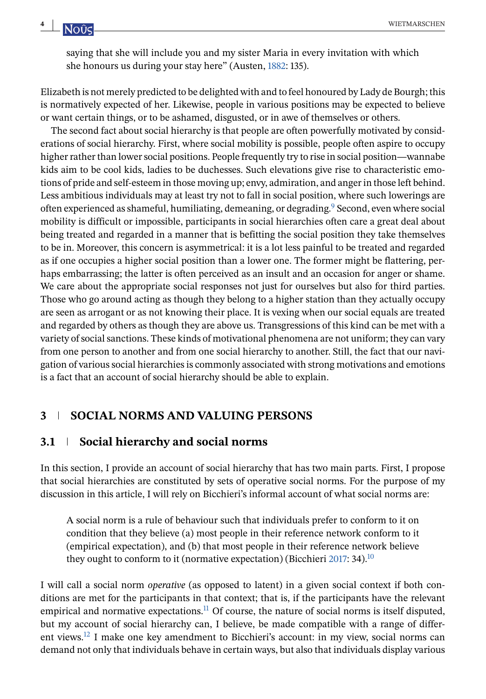saying that she will include you and my sister Maria in every invitation with which she honours us during your stay here" (Austen, [1882:](#page-18-0) 135).

Elizabeth is not merely predicted to be delighted with and to feel honoured by Lady de Bourgh; this is normatively expected of her. Likewise, people in various positions may be expected to believe or want certain things, or to be ashamed, disgusted, or in awe of themselves or others.

The second fact about social hierarchy is that people are often powerfully motivated by considerations of social hierarchy. First, where social mobility is possible, people often aspire to occupy higher rather than lower social positions. People frequently try to rise in social position—wannabe kids aim to be cool kids, ladies to be duchesses. Such elevations give rise to characteristic emotions of pride and self-esteem in those moving up; envy, admiration, and anger in those left behind. Less ambitious individuals may at least try not to fall in social position, where such lowerings are often experienced as shameful, humiliating, demeaning, or degrading[.](#page-16-0)<sup>9</sup> Second, even where social mobility is difficult or impossible, participants in social hierarchies often care a great deal about being treated and regarded in a manner that is befitting the social position they take themselves to be in. Moreover, this concern is asymmetrical: it is a lot less painful to be treated and regarded as if one occupies a higher social position than a lower one. The former might be flattering, perhaps embarrassing; the latter is often perceived as an insult and an occasion for anger or shame. We care about the appropriate social responses not just for ourselves but also for third parties. Those who go around acting as though they belong to a higher station than they actually occupy are seen as arrogant or as not knowing their place. It is vexing when our social equals are treated and regarded by others as though they are above us. Transgressions of this kind can be met with a variety of social sanctions. These kinds of motivational phenomena are not uniform; they can vary from one person to another and from one social hierarchy to another. Still, the fact that our navigation of various social hierarchies is commonly associated with strong motivations and emotions is a fact that an account of social hierarchy should be able to explain.

# **3 SOCIAL NORMS AND VALUING PERSONS**

# **3.1 Social hierarchy and social norms**

In this section, I provide an account of social hierarchy that has two main parts. First, I propose that social hierarchies are constituted by sets of operative social norms. For the purpose of my discussion in this article, I will rely on Bicchieri's informal account of what social norms are:

A social norm is a rule of behaviour such that individuals prefer to conform to it on condition that they believe (a) most people in their reference network conform to it (empirical expectation), and (b) that most people in their reference network believe they ought to conform to it (normative expectation) (Bicchieri [2017:](#page-18-0) 34)[.](#page-16-0)<sup>10</sup>

I will call a social norm *operative* (as opposed to latent) in a given social context if both conditions are met for the participants in that context; that is, if the participants have the relevant empirical and normative expectations[.](#page-16-0) $11$  Of course, the nature of social norms is itself disputed, but my account of social hierarchy can, I believe, be made compatible with a range of different views[.](#page-16-0)12 I make one key amendment to Bicchieri's account: in my view, social norms can demand not only that individuals behave in certain ways, but also that individuals display various

<span id="page-3-0"></span>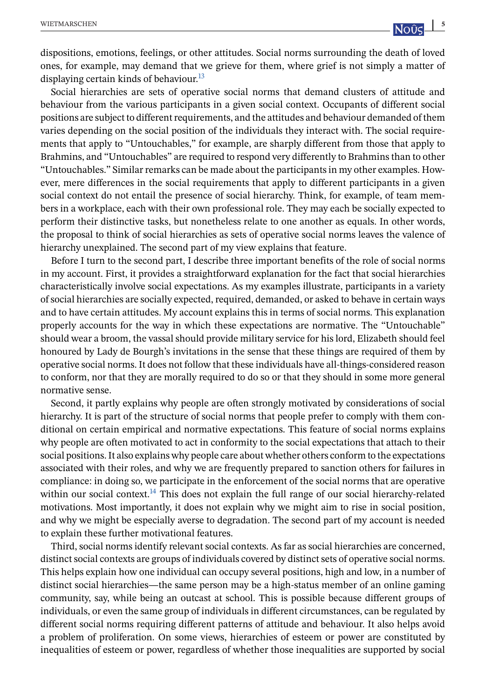dispositions, emotions, feelings, or other attitudes. Social norms surrounding the death of loved ones, for example, may demand that we grieve for them, where grief is not simply a matter of displaying certain kinds of behaviour[.](#page-16-0)<sup>13</sup>

Social hierarchies are sets of operative social norms that demand clusters of attitude and behaviour from the various participants in a given social context. Occupants of different social positions are subject to different requirements, and the attitudes and behaviour demanded of them varies depending on the social position of the individuals they interact with. The social requirements that apply to "Untouchables," for example, are sharply different from those that apply to Brahmins, and "Untouchables" are required to respond very differently to Brahmins than to other "Untouchables." Similar remarks can be made about the participants in my other examples. However, mere differences in the social requirements that apply to different participants in a given social context do not entail the presence of social hierarchy. Think, for example, of team members in a workplace, each with their own professional role. They may each be socially expected to perform their distinctive tasks, but nonetheless relate to one another as equals. In other words, the proposal to think of social hierarchies as sets of operative social norms leaves the valence of hierarchy unexplained. The second part of my view explains that feature.

Before I turn to the second part, I describe three important benefits of the role of social norms in my account. First, it provides a straightforward explanation for the fact that social hierarchies characteristically involve social expectations. As my examples illustrate, participants in a variety of social hierarchies are socially expected, required, demanded, or asked to behave in certain ways and to have certain attitudes. My account explains this in terms of social norms. This explanation properly accounts for the way in which these expectations are normative. The "Untouchable" should wear a broom, the vassal should provide military service for his lord, Elizabeth should feel honoured by Lady de Bourgh's invitations in the sense that these things are required of them by operative social norms. It does not follow that these individuals have all-things-considered reason to conform, nor that they are morally required to do so or that they should in some more general normative sense.

Second, it partly explains why people are often strongly motivated by considerations of social hierarchy. It is part of the structure of social norms that people prefer to comply with them conditional on certain empirical and normative expectations. This feature of social norms explains why people are often motivated to act in conformity to the social expectations that attach to their social positions. It also explains why people care about whether others conform to the expectations associated with their roles, and why we are frequently prepared to sanction others for failures in compliance: in doing so, we participate in the enforcement of the social norms that are operative within our social context[.](#page-16-0)<sup>14</sup> This does not explain the full range of our social hierarchy-related motivations. Most importantly, it does not explain why we might aim to rise in social position, and why we might be especially averse to degradation. The second part of my account is needed to explain these further motivational features.

Third, social norms identify relevant social contexts. As far as social hierarchies are concerned, distinct social contexts are groups of individuals covered by distinct sets of operative social norms. This helps explain how one individual can occupy several positions, high and low, in a number of distinct social hierarchies—the same person may be a high-status member of an online gaming community, say, while being an outcast at school. This is possible because different groups of individuals, or even the same group of individuals in different circumstances, can be regulated by different social norms requiring different patterns of attitude and behaviour. It also helps avoid a problem of proliferation. On some views, hierarchies of esteem or power are constituted by inequalities of esteem or power, regardless of whether those inequalities are supported by social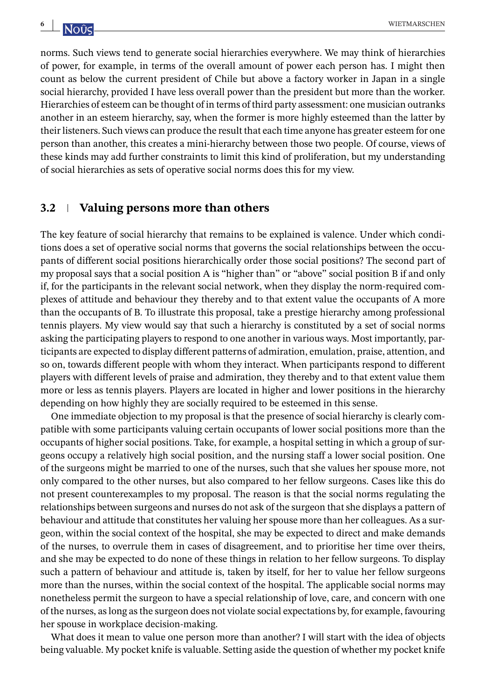norms. Such views tend to generate social hierarchies everywhere. We may think of hierarchies of power, for example, in terms of the overall amount of power each person has. I might then count as below the current president of Chile but above a factory worker in Japan in a single social hierarchy, provided I have less overall power than the president but more than the worker. Hierarchies of esteem can be thought of in terms of third party assessment: one musician outranks another in an esteem hierarchy, say, when the former is more highly esteemed than the latter by their listeners. Such views can produce the result that each time anyone has greater esteem for one person than another, this creates a mini-hierarchy between those two people. Of course, views of these kinds may add further constraints to limit this kind of proliferation, but my understanding of social hierarchies as sets of operative social norms does this for my view.

## **3.2 Valuing persons more than others**

The key feature of social hierarchy that remains to be explained is valence. Under which conditions does a set of operative social norms that governs the social relationships between the occupants of different social positions hierarchically order those social positions? The second part of my proposal says that a social position A is "higher than" or "above" social position B if and only if, for the participants in the relevant social network, when they display the norm-required complexes of attitude and behaviour they thereby and to that extent value the occupants of A more than the occupants of B. To illustrate this proposal, take a prestige hierarchy among professional tennis players. My view would say that such a hierarchy is constituted by a set of social norms asking the participating players to respond to one another in various ways. Most importantly, participants are expected to display different patterns of admiration, emulation, praise, attention, and so on, towards different people with whom they interact. When participants respond to different players with different levels of praise and admiration, they thereby and to that extent value them more or less as tennis players. Players are located in higher and lower positions in the hierarchy depending on how highly they are socially required to be esteemed in this sense.

One immediate objection to my proposal is that the presence of social hierarchy is clearly compatible with some participants valuing certain occupants of lower social positions more than the occupants of higher social positions. Take, for example, a hospital setting in which a group of surgeons occupy a relatively high social position, and the nursing staff a lower social position. One of the surgeons might be married to one of the nurses, such that she values her spouse more, not only compared to the other nurses, but also compared to her fellow surgeons. Cases like this do not present counterexamples to my proposal. The reason is that the social norms regulating the relationships between surgeons and nurses do not ask of the surgeon that she displays a pattern of behaviour and attitude that constitutes her valuing her spouse more than her colleagues. As a surgeon, within the social context of the hospital, she may be expected to direct and make demands of the nurses, to overrule them in cases of disagreement, and to prioritise her time over theirs, and she may be expected to do none of these things in relation to her fellow surgeons. To display such a pattern of behaviour and attitude is, taken by itself, for her to value her fellow surgeons more than the nurses, within the social context of the hospital. The applicable social norms may nonetheless permit the surgeon to have a special relationship of love, care, and concern with one of the nurses, as long as the surgeon does not violate social expectations by, for example, favouring her spouse in workplace decision-making.

What does it mean to value one person more than another? I will start with the idea of objects being valuable. My pocket knife is valuable. Setting aside the question of whether my pocket knife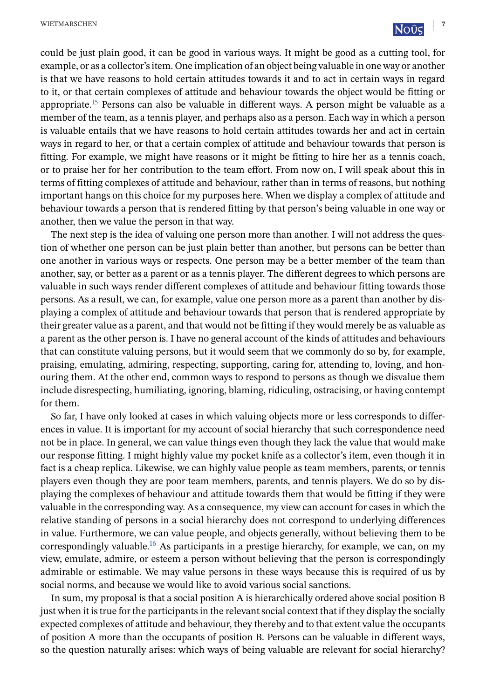another, then we value the person in that way.

could be just plain good, it can be good in various ways. It might be good as a cutting tool, for example, or as a collector's item. One implication of an object being valuable in one way or another is that we have reasons to hold certain attitudes towards it and to act in certain ways in regard to it, or that certain complexes of attitude and behaviour towards the object would be fitting or appropriate[.](#page-16-0)<sup>15</sup> Persons can also be valuable in different ways. A person might be valuable as a member of the team, as a tennis player, and perhaps also as a person. Each way in which a person is valuable entails that we have reasons to hold certain attitudes towards her and act in certain ways in regard to her, or that a certain complex of attitude and behaviour towards that person is fitting. For example, we might have reasons or it might be fitting to hire her as a tennis coach, or to praise her for her contribution to the team effort. From now on, I will speak about this in terms of fitting complexes of attitude and behaviour, rather than in terms of reasons, but nothing important hangs on this choice for my purposes here. When we display a complex of attitude and behaviour towards a person that is rendered fitting by that person's being valuable in one way or

The next step is the idea of valuing one person more than another. I will not address the question of whether one person can be just plain better than another, but persons can be better than one another in various ways or respects. One person may be a better member of the team than another, say, or better as a parent or as a tennis player. The different degrees to which persons are valuable in such ways render different complexes of attitude and behaviour fitting towards those persons. As a result, we can, for example, value one person more as a parent than another by displaying a complex of attitude and behaviour towards that person that is rendered appropriate by their greater value as a parent, and that would not be fitting if they would merely be as valuable as a parent as the other person is. I have no general account of the kinds of attitudes and behaviours that can constitute valuing persons, but it would seem that we commonly do so by, for example, praising, emulating, admiring, respecting, supporting, caring for, attending to, loving, and honouring them. At the other end, common ways to respond to persons as though we disvalue them include disrespecting, humiliating, ignoring, blaming, ridiculing, ostracising, or having contempt for them.

So far, I have only looked at cases in which valuing objects more or less corresponds to differences in value. It is important for my account of social hierarchy that such correspondence need not be in place. In general, we can value things even though they lack the value that would make our response fitting. I might highly value my pocket knife as a collector's item, even though it in fact is a cheap replica. Likewise, we can highly value people as team members, parents, or tennis players even though they are poor team members, parents, and tennis players. We do so by displaying the complexes of behaviour and attitude towards them that would be fitting if they were valuable in the corresponding way. As a consequence, my view can account for cases in which the relative standing of persons in a social hierarchy does not correspond to underlying differences in value. Furthermore, we can value people, and objects generally, without believing them to be correspondingly valuable[.](#page-17-0)<sup>16</sup> As participants in a prestige hierarchy, for example, we can, on my view, emulate, admire, or esteem a person without believing that the person is correspondingly admirable or estimable. We may value persons in these ways because this is required of us by social norms, and because we would like to avoid various social sanctions.

In sum, my proposal is that a social position A is hierarchically ordered above social position B just when it is true for the participants in the relevant social context that if they display the socially expected complexes of attitude and behaviour, they thereby and to that extent value the occupants of position A more than the occupants of position B. Persons can be valuable in different ways, so the question naturally arises: which ways of being valuable are relevant for social hierarchy?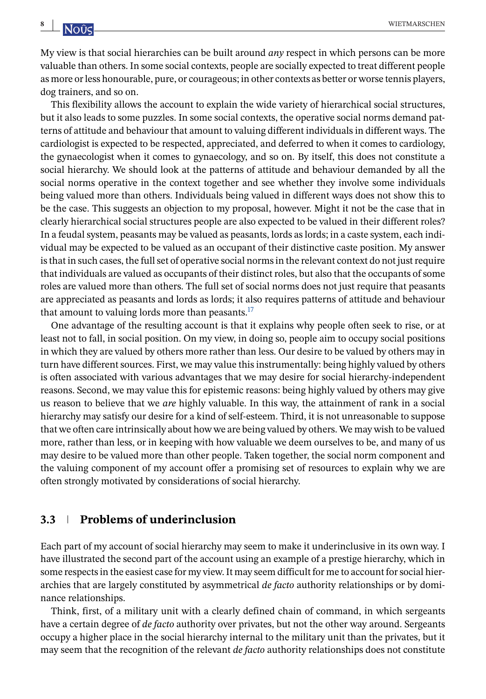My view is that social hierarchies can be built around *any* respect in which persons can be more valuable than others. In some social contexts, people are socially expected to treat different people as more or less honourable, pure, or courageous; in other contexts as better or worse tennis players, dog trainers, and so on.

This flexibility allows the account to explain the wide variety of hierarchical social structures, but it also leads to some puzzles. In some social contexts, the operative social norms demand patterns of attitude and behaviour that amount to valuing different individuals in different ways. The cardiologist is expected to be respected, appreciated, and deferred to when it comes to cardiology, the gynaecologist when it comes to gynaecology, and so on. By itself, this does not constitute a social hierarchy. We should look at the patterns of attitude and behaviour demanded by all the social norms operative in the context together and see whether they involve some individuals being valued more than others. Individuals being valued in different ways does not show this to be the case. This suggests an objection to my proposal, however. Might it not be the case that in clearly hierarchical social structures people are also expected to be valued in their different roles? In a feudal system, peasants may be valued as peasants, lords as lords; in a caste system, each individual may be expected to be valued as an occupant of their distinctive caste position. My answer is that in such cases, the full set of operative social norms in the relevant context do not just require that individuals are valued as occupants of their distinct roles, but also that the occupants of some roles are valued more than others. The full set of social norms does not just require that peasants are appreciated as peasants and lords as lords; it also requires patterns of attitude and behaviour that amount to valuing lords more than peasants[.](#page-17-0) $^{17}$ 

One advantage of the resulting account is that it explains why people often seek to rise, or at least not to fall, in social position. On my view, in doing so, people aim to occupy social positions in which they are valued by others more rather than less. Our desire to be valued by others may in turn have different sources. First, we may value this instrumentally: being highly valued by others is often associated with various advantages that we may desire for social hierarchy-independent reasons. Second, we may value this for epistemic reasons: being highly valued by others may give us reason to believe that we *are* highly valuable. In this way, the attainment of rank in a social hierarchy may satisfy our desire for a kind of self-esteem. Third, it is not unreasonable to suppose that we often care intrinsically about how we are being valued by others. We may wish to be valued more, rather than less, or in keeping with how valuable we deem ourselves to be, and many of us may desire to be valued more than other people. Taken together, the social norm component and the valuing component of my account offer a promising set of resources to explain why we are often strongly motivated by considerations of social hierarchy.

## **3.3 Problems of underinclusion**

Each part of my account of social hierarchy may seem to make it underinclusive in its own way. I have illustrated the second part of the account using an example of a prestige hierarchy, which in some respects in the easiest case for my view. It may seem difficult for me to account for social hierarchies that are largely constituted by asymmetrical *de facto* authority relationships or by dominance relationships.

Think, first, of a military unit with a clearly defined chain of command, in which sergeants have a certain degree of *de facto* authority over privates, but not the other way around. Sergeants occupy a higher place in the social hierarchy internal to the military unit than the privates, but it may seem that the recognition of the relevant *de facto* authority relationships does not constitute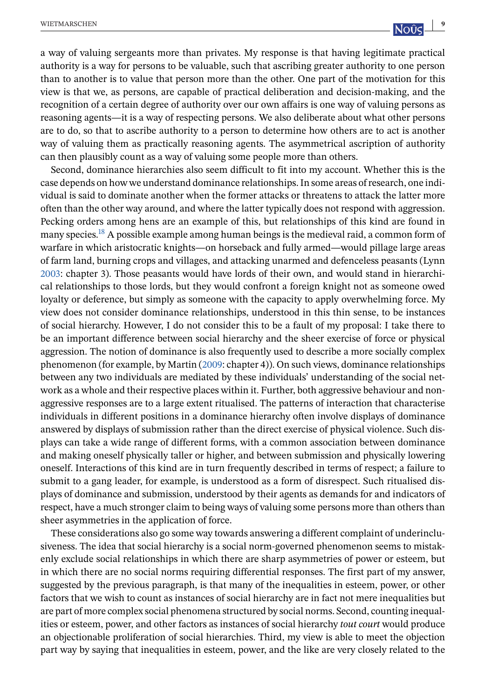a way of valuing sergeants more than privates. My response is that having legitimate practical authority is a way for persons to be valuable, such that ascribing greater authority to one person than to another is to value that person more than the other. One part of the motivation for this view is that we, as persons, are capable of practical deliberation and decision-making, and the recognition of a certain degree of authority over our own affairs is one way of valuing persons as reasoning agents—it is a way of respecting persons. We also deliberate about what other persons are to do, so that to ascribe authority to a person to determine how others are to act is another way of valuing them as practically reasoning agents. The asymmetrical ascription of authority can then plausibly count as a way of valuing some people more than others.

Second, dominance hierarchies also seem difficult to fit into my account. Whether this is the case depends on how we understand dominance relationships. In some areas of research, one individual is said to dominate another when the former attacks or threatens to attack the latter more often than the other way around, and where the latter typically does not respond with aggression. Pecking orders among hens are an example of this, but relationships of this kind are found in many species[.](#page-17-0)<sup>18</sup> A possible example among human beings is the medieval raid, a common form of warfare in which aristocratic knights—on horseback and fully armed—would pillage large areas of farm land, burning crops and villages, and attacking unarmed and defenceless peasants (Lynn [2003:](#page-18-0) chapter 3). Those peasants would have lords of their own, and would stand in hierarchical relationships to those lords, but they would confront a foreign knight not as someone owed loyalty or deference, but simply as someone with the capacity to apply overwhelming force. My view does not consider dominance relationships, understood in this thin sense, to be instances of social hierarchy. However, I do not consider this to be a fault of my proposal: I take there to be an important difference between social hierarchy and the sheer exercise of force or physical aggression. The notion of dominance is also frequently used to describe a more socially complex phenomenon (for example, by Martin [\(2009:](#page-18-0) chapter 4)). On such views, dominance relationships between any two individuals are mediated by these individuals' understanding of the social network as a whole and their respective places within it. Further, both aggressive behaviour and nonaggressive responses are to a large extent ritualised. The patterns of interaction that characterise individuals in different positions in a dominance hierarchy often involve displays of dominance answered by displays of submission rather than the direct exercise of physical violence. Such displays can take a wide range of different forms, with a common association between dominance and making oneself physically taller or higher, and between submission and physically lowering oneself. Interactions of this kind are in turn frequently described in terms of respect; a failure to submit to a gang leader, for example, is understood as a form of disrespect. Such ritualised displays of dominance and submission, understood by their agents as demands for and indicators of respect, have a much stronger claim to being ways of valuing some persons more than others than sheer asymmetries in the application of force.

These considerations also go some way towards answering a different complaint of underinclusiveness. The idea that social hierarchy is a social norm-governed phenomenon seems to mistakenly exclude social relationships in which there are sharp asymmetries of power or esteem, but in which there are no social norms requiring differential responses. The first part of my answer, suggested by the previous paragraph, is that many of the inequalities in esteem, power, or other factors that we wish to count as instances of social hierarchy are in fact not mere inequalities but are part of more complex social phenomena structured by social norms. Second, counting inequalities or esteem, power, and other factors as instances of social hierarchy *tout court* would produce an objectionable proliferation of social hierarchies. Third, my view is able to meet the objection part way by saying that inequalities in esteem, power, and the like are very closely related to the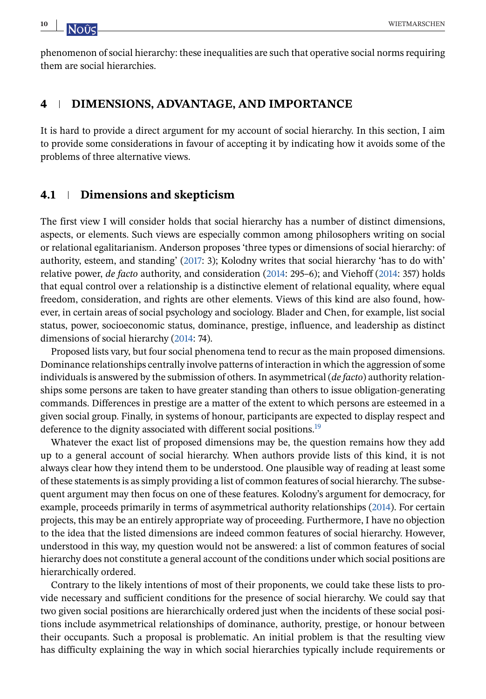phenomenon of social hierarchy: these inequalities are such that operative social norms requiring them are social hierarchies.

## **4 DIMENSIONS, ADVANTAGE, AND IMPORTANCE**

It is hard to provide a direct argument for my account of social hierarchy. In this section, I aim to provide some considerations in favour of accepting it by indicating how it avoids some of the problems of three alternative views.

## **4.1 Dimensions and skepticism**

The first view I will consider holds that social hierarchy has a number of distinct dimensions, aspects, or elements. Such views are especially common among philosophers writing on social or relational egalitarianism. Anderson proposes 'three types or dimensions of social hierarchy: of authority, esteem, and standing' [\(2017:](#page-18-0) 3); Kolodny writes that social hierarchy 'has to do with' relative power, *de facto* authority, and consideration [\(2014:](#page-18-0) 295–6); and Viehoff [\(2014:](#page-19-0) 357) holds that equal control over a relationship is a distinctive element of relational equality, where equal freedom, consideration, and rights are other elements. Views of this kind are also found, however, in certain areas of social psychology and sociology. Blader and Chen, for example, list social status, power, socioeconomic status, dominance, prestige, influence, and leadership as distinct dimensions of social hierarchy [\(2014:](#page-18-0) 74).

Proposed lists vary, but four social phenomena tend to recur as the main proposed dimensions. Dominance relationships centrally involve patterns of interaction in which the aggression of some individuals is answered by the submission of others. In asymmetrical (*de facto*) authority relationships some persons are taken to have greater standing than others to issue obligation-generating commands. Differences in prestige are a matter of the extent to which persons are esteemed in a given social group. Finally, in systems of honour, participants are expected to display respect and deference to the dignity associated with different social positions[.](#page-17-0)<sup>19</sup>

Whatever the exact list of proposed dimensions may be, the question remains how they add up to a general account of social hierarchy. When authors provide lists of this kind, it is not always clear how they intend them to be understood. One plausible way of reading at least some of these statements is as simply providing a list of common features of social hierarchy. The subsequent argument may then focus on one of these features. Kolodny's argument for democracy, for example, proceeds primarily in terms of asymmetrical authority relationships [\(2014\)](#page-18-0). For certain projects, this may be an entirely appropriate way of proceeding. Furthermore, I have no objection to the idea that the listed dimensions are indeed common features of social hierarchy. However, understood in this way, my question would not be answered: a list of common features of social hierarchy does not constitute a general account of the conditions under which social positions are hierarchically ordered.

Contrary to the likely intentions of most of their proponents, we could take these lists to provide necessary and sufficient conditions for the presence of social hierarchy. We could say that two given social positions are hierarchically ordered just when the incidents of these social positions include asymmetrical relationships of dominance, authority, prestige, or honour between their occupants. Such a proposal is problematic. An initial problem is that the resulting view has difficulty explaining the way in which social hierarchies typically include requirements or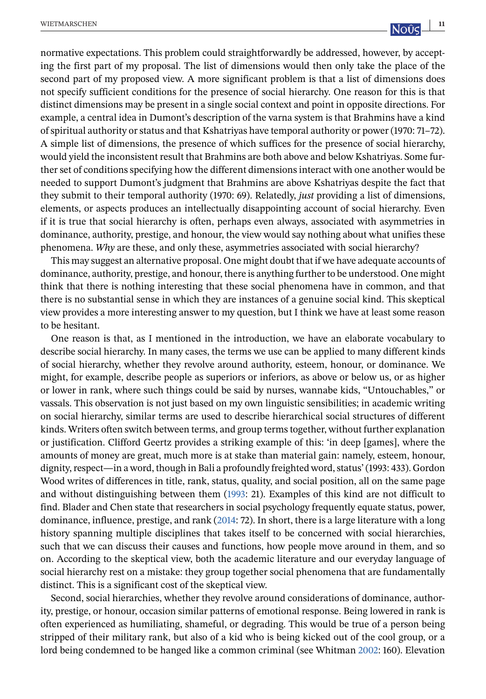normative expectations. This problem could straightforwardly be addressed, however, by accepting the first part of my proposal. The list of dimensions would then only take the place of the second part of my proposed view. A more significant problem is that a list of dimensions does not specify sufficient conditions for the presence of social hierarchy. One reason for this is that distinct dimensions may be present in a single social context and point in opposite directions. For example, a central idea in Dumont's description of the varna system is that Brahmins have a kind of spiritual authority or status and that Kshatriyas have temporal authority or power (1970: 71–72). A simple list of dimensions, the presence of which suffices for the presence of social hierarchy, would yield the inconsistent result that Brahmins are both above and below Kshatriyas. Some further set of conditions specifying how the different dimensions interact with one another would be needed to support Dumont's judgment that Brahmins are above Kshatriyas despite the fact that they submit to their temporal authority (1970: 69). Relatedly, *just* providing a list of dimensions, elements, or aspects produces an intellectually disappointing account of social hierarchy. Even if it is true that social hierarchy is often, perhaps even always, associated with asymmetries in dominance, authority, prestige, and honour, the view would say nothing about what unifies these phenomena. *Why* are these, and only these, asymmetries associated with social hierarchy?

This may suggest an alternative proposal. One might doubt that if we have adequate accounts of dominance, authority, prestige, and honour, there is anything further to be understood. One might think that there is nothing interesting that these social phenomena have in common, and that there is no substantial sense in which they are instances of a genuine social kind. This skeptical view provides a more interesting answer to my question, but I think we have at least some reason to be hesitant.

One reason is that, as I mentioned in the introduction, we have an elaborate vocabulary to describe social hierarchy. In many cases, the terms we use can be applied to many different kinds of social hierarchy, whether they revolve around authority, esteem, honour, or dominance. We might, for example, describe people as superiors or inferiors, as above or below us, or as higher or lower in rank, where such things could be said by nurses, wannabe kids, "Untouchables," or vassals. This observation is not just based on my own linguistic sensibilities; in academic writing on social hierarchy, similar terms are used to describe hierarchical social structures of different kinds. Writers often switch between terms, and group terms together, without further explanation or justification. Clifford Geertz provides a striking example of this: 'in deep [games], where the amounts of money are great, much more is at stake than material gain: namely, esteem, honour, dignity, respect—in a word, though in Bali a profoundly freighted word, status' (1993: 433). Gordon Wood writes of differences in title, rank, status, quality, and social position, all on the same page and without distinguishing between them [\(1993:](#page-19-0) 21). Examples of this kind are not difficult to find. Blader and Chen state that researchers in social psychology frequently equate status, power, dominance, influence, prestige, and rank [\(2014:](#page-18-0) 72). In short, there is a large literature with a long history spanning multiple disciplines that takes itself to be concerned with social hierarchies, such that we can discuss their causes and functions, how people move around in them, and so on. According to the skeptical view, both the academic literature and our everyday language of social hierarchy rest on a mistake: they group together social phenomena that are fundamentally distinct. This is a significant cost of the skeptical view.

Second, social hierarchies, whether they revolve around considerations of dominance, authority, prestige, or honour, occasion similar patterns of emotional response. Being lowered in rank is often experienced as humiliating, shameful, or degrading. This would be true of a person being stripped of their military rank, but also of a kid who is being kicked out of the cool group, or a lord being condemned to be hanged like a common criminal (see Whitman [2002:](#page-19-0) 160). Elevation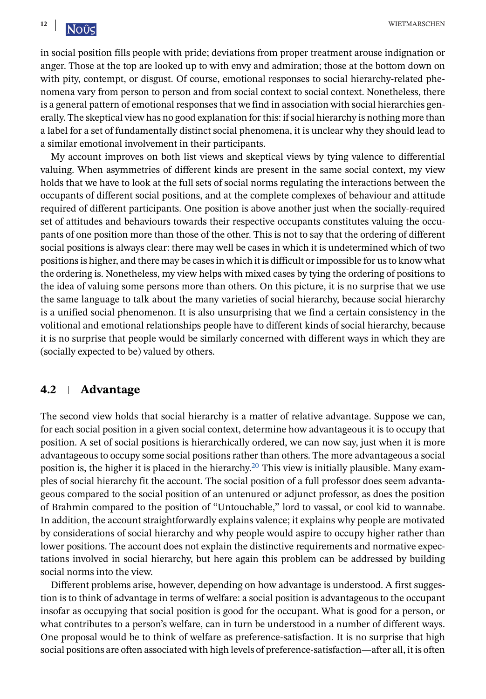in social position fills people with pride; deviations from proper treatment arouse indignation or anger. Those at the top are looked up to with envy and admiration; those at the bottom down on with pity, contempt, or disgust. Of course, emotional responses to social hierarchy-related phenomena vary from person to person and from social context to social context. Nonetheless, there is a general pattern of emotional responses that we find in association with social hierarchies generally. The skeptical view has no good explanation for this: if social hierarchy is nothing more than a label for a set of fundamentally distinct social phenomena, it is unclear why they should lead to a similar emotional involvement in their participants.

My account improves on both list views and skeptical views by tying valence to differential valuing. When asymmetries of different kinds are present in the same social context, my view holds that we have to look at the full sets of social norms regulating the interactions between the occupants of different social positions, and at the complete complexes of behaviour and attitude required of different participants. One position is above another just when the socially-required set of attitudes and behaviours towards their respective occupants constitutes valuing the occupants of one position more than those of the other. This is not to say that the ordering of different social positions is always clear: there may well be cases in which it is undetermined which of two positions is higher, and there may be cases in which it is difficult or impossible for us to know what the ordering is. Nonetheless, my view helps with mixed cases by tying the ordering of positions to the idea of valuing some persons more than others. On this picture, it is no surprise that we use the same language to talk about the many varieties of social hierarchy, because social hierarchy is a unified social phenomenon. It is also unsurprising that we find a certain consistency in the volitional and emotional relationships people have to different kinds of social hierarchy, because it is no surprise that people would be similarly concerned with different ways in which they are (socially expected to be) valued by others.

## **4.2 Advantage**

The second view holds that social hierarchy is a matter of relative advantage. Suppose we can, for each social position in a given social context, determine how advantageous it is to occupy that position. A set of social positions is hierarchically ordered, we can now say, just when it is more advantageous to occupy some social positions rather than others. The more advantageous a social position is, the higher it is placed in the hierarchy[.](#page-17-0)<sup>20</sup> This view is initially plausible. Many examples of social hierarchy fit the account. The social position of a full professor does seem advantageous compared to the social position of an untenured or adjunct professor, as does the position of Brahmin compared to the position of "Untouchable," lord to vassal, or cool kid to wannabe. In addition, the account straightforwardly explains valence; it explains why people are motivated by considerations of social hierarchy and why people would aspire to occupy higher rather than lower positions. The account does not explain the distinctive requirements and normative expectations involved in social hierarchy, but here again this problem can be addressed by building social norms into the view.

Different problems arise, however, depending on how advantage is understood. A first suggestion is to think of advantage in terms of welfare: a social position is advantageous to the occupant insofar as occupying that social position is good for the occupant. What is good for a person, or what contributes to a person's welfare, can in turn be understood in a number of different ways. One proposal would be to think of welfare as preference-satisfaction. It is no surprise that high social positions are often associated with high levels of preference-satisfaction—after all, it is often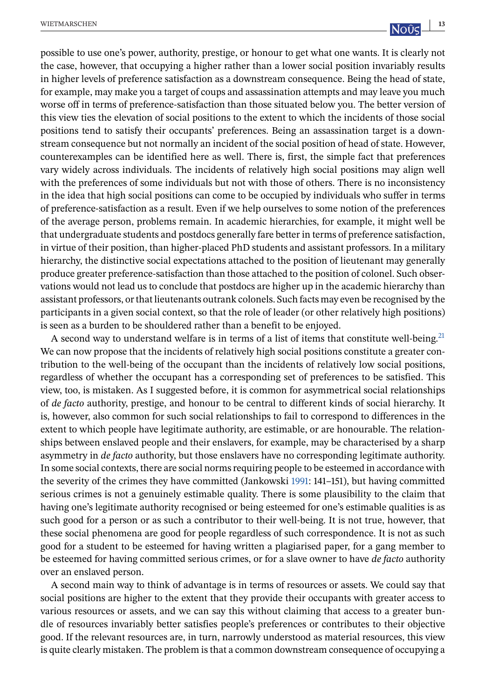possible to use one's power, authority, prestige, or honour to get what one wants. It is clearly not the case, however, that occupying a higher rather than a lower social position invariably results in higher levels of preference satisfaction as a downstream consequence. Being the head of state, for example, may make you a target of coups and assassination attempts and may leave you much worse off in terms of preference-satisfaction than those situated below you. The better version of this view ties the elevation of social positions to the extent to which the incidents of those social positions tend to satisfy their occupants' preferences. Being an assassination target is a downstream consequence but not normally an incident of the social position of head of state. However, counterexamples can be identified here as well. There is, first, the simple fact that preferences vary widely across individuals. The incidents of relatively high social positions may align well with the preferences of some individuals but not with those of others. There is no inconsistency in the idea that high social positions can come to be occupied by individuals who suffer in terms of preference-satisfaction as a result. Even if we help ourselves to some notion of the preferences of the average person, problems remain. In academic hierarchies, for example, it might well be that undergraduate students and postdocs generally fare better in terms of preference satisfaction, in virtue of their position, than higher-placed PhD students and assistant professors. In a military hierarchy, the distinctive social expectations attached to the position of lieutenant may generally produce greater preference-satisfaction than those attached to the position of colonel. Such observations would not lead us to conclude that postdocs are higher up in the academic hierarchy than assistant professors, or that lieutenants outrank colonels. Such facts may even be recognised by the participants in a given social context, so that the role of leader (or other relatively high positions)

A second way to understand welfare is in terms of a list of items that constitute well-being[.](#page-17-0)<sup>21</sup> We can now propose that the incidents of relatively high social positions constitute a greater contribution to the well-being of the occupant than the incidents of relatively low social positions, regardless of whether the occupant has a corresponding set of preferences to be satisfied. This view, too, is mistaken. As I suggested before, it is common for asymmetrical social relationships of *de facto* authority, prestige, and honour to be central to different kinds of social hierarchy. It is, however, also common for such social relationships to fail to correspond to differences in the extent to which people have legitimate authority, are estimable, or are honourable. The relationships between enslaved people and their enslavers, for example, may be characterised by a sharp asymmetry in *de facto* authority, but those enslavers have no corresponding legitimate authority. In some social contexts, there are social norms requiring people to be esteemed in accordance with the severity of the crimes they have committed (Jankowski [1991:](#page-18-0) 141–151), but having committed serious crimes is not a genuinely estimable quality. There is some plausibility to the claim that having one's legitimate authority recognised or being esteemed for one's estimable qualities is as such good for a person or as such a contributor to their well-being. It is not true, however, that these social phenomena are good for people regardless of such correspondence. It is not as such good for a student to be esteemed for having written a plagiarised paper, for a gang member to be esteemed for having committed serious crimes, or for a slave owner to have *de facto* authority over an enslaved person.

is seen as a burden to be shouldered rather than a benefit to be enjoyed.

A second main way to think of advantage is in terms of resources or assets. We could say that social positions are higher to the extent that they provide their occupants with greater access to various resources or assets, and we can say this without claiming that access to a greater bundle of resources invariably better satisfies people's preferences or contributes to their objective good. If the relevant resources are, in turn, narrowly understood as material resources, this view is quite clearly mistaken. The problem is that a common downstream consequence of occupying a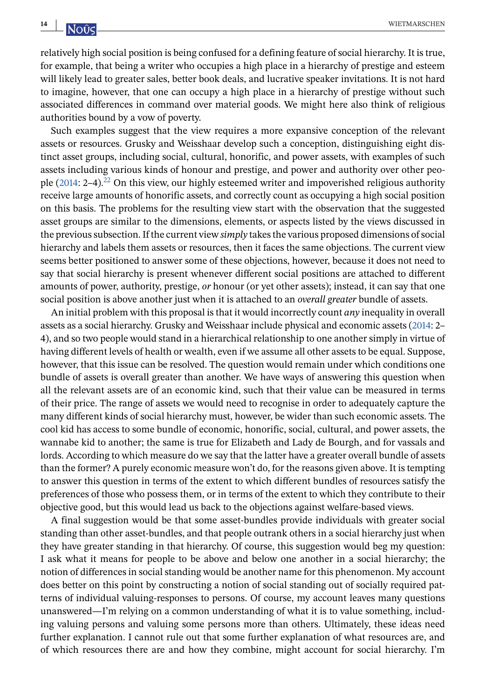relatively high social position is being confused for a defining feature of social hierarchy. It is true, for example, that being a writer who occupies a high place in a hierarchy of prestige and esteem will likely lead to greater sales, better book deals, and lucrative speaker invitations. It is not hard to imagine, however, that one can occupy a high place in a hierarchy of prestige without such associated differences in command over material goods. We might here also think of religious authorities bound by a vow of poverty.

Such examples suggest that the view requires a more expansive conception of the relevant assets or resources. Grusky and Weisshaar develop such a conception, distinguishing eight distinct asset groups, including social, cultural, honorific, and power assets, with examples of such assets including various kinds of honour and prestige, and power and authority over other people  $(2014: 2-4)$  $(2014: 2-4)$ [.](#page-17-0)<sup>22</sup> On this view, our highly esteemed writer and impoverished religious authority receive large amounts of honorific assets, and correctly count as occupying a high social position on this basis. The problems for the resulting view start with the observation that the suggested asset groups are similar to the dimensions, elements, or aspects listed by the views discussed in the previous subsection. If the current view *simply* takes the various proposed dimensions of social hierarchy and labels them assets or resources, then it faces the same objections. The current view seems better positioned to answer some of these objections, however, because it does not need to say that social hierarchy is present whenever different social positions are attached to different amounts of power, authority, prestige, *or* honour (or yet other assets); instead, it can say that one social position is above another just when it is attached to an *overall greater* bundle of assets.

An initial problem with this proposal is that it would incorrectly count *any* inequality in overall assets as a social hierarchy. Grusky and Weisshaar include physical and economic assets [\(2014:](#page-18-0) 2– 4), and so two people would stand in a hierarchical relationship to one another simply in virtue of having different levels of health or wealth, even if we assume all other assets to be equal. Suppose, however, that this issue can be resolved. The question would remain under which conditions one bundle of assets is overall greater than another. We have ways of answering this question when all the relevant assets are of an economic kind, such that their value can be measured in terms of their price. The range of assets we would need to recognise in order to adequately capture the many different kinds of social hierarchy must, however, be wider than such economic assets. The cool kid has access to some bundle of economic, honorific, social, cultural, and power assets, the wannabe kid to another; the same is true for Elizabeth and Lady de Bourgh, and for vassals and lords. According to which measure do we say that the latter have a greater overall bundle of assets than the former? A purely economic measure won't do, for the reasons given above. It is tempting to answer this question in terms of the extent to which different bundles of resources satisfy the preferences of those who possess them, or in terms of the extent to which they contribute to their objective good, but this would lead us back to the objections against welfare-based views.

A final suggestion would be that some asset-bundles provide individuals with greater social standing than other asset-bundles, and that people outrank others in a social hierarchy just when they have greater standing in that hierarchy. Of course, this suggestion would beg my question: I ask what it means for people to be above and below one another in a social hierarchy; the notion of differences in social standing would be another name for this phenomenon. My account does better on this point by constructing a notion of social standing out of socially required patterns of individual valuing-responses to persons. Of course, my account leaves many questions unanswered—I'm relying on a common understanding of what it is to value something, including valuing persons and valuing some persons more than others. Ultimately, these ideas need further explanation. I cannot rule out that some further explanation of what resources are, and of which resources there are and how they combine, might account for social hierarchy. I'm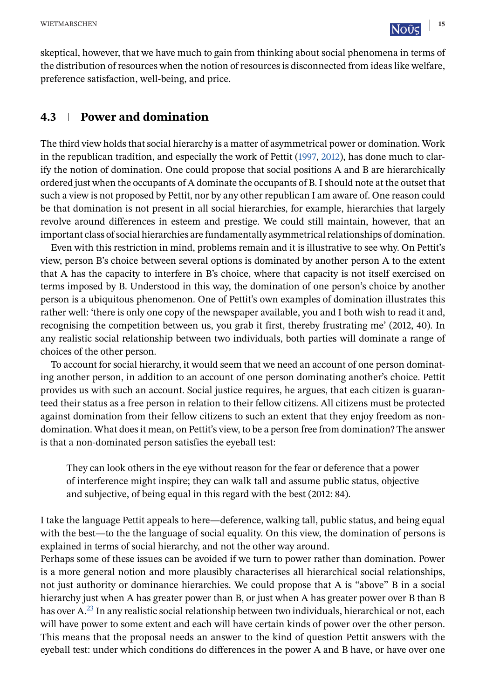skeptical, however, that we have much to gain from thinking about social phenomena in terms of the distribution of resources when the notion of resources is disconnected from ideas like welfare, preference satisfaction, well-being, and price.

## **4.3 Power and domination**

The third view holds that social hierarchy is a matter of asymmetrical power or domination. Work in the republican tradition, and especially the work of Pettit [\(1997,](#page-18-0) [2012\)](#page-18-0), has done much to clarify the notion of domination. One could propose that social positions A and B are hierarchically ordered just when the occupants of A dominate the occupants of B. I should note at the outset that such a view is not proposed by Pettit, nor by any other republican I am aware of. One reason could be that domination is not present in all social hierarchies, for example, hierarchies that largely revolve around differences in esteem and prestige. We could still maintain, however, that an important class of social hierarchies are fundamentally asymmetrical relationships of domination.

Even with this restriction in mind, problems remain and it is illustrative to see why. On Pettit's view, person B's choice between several options is dominated by another person A to the extent that A has the capacity to interfere in B's choice, where that capacity is not itself exercised on terms imposed by B. Understood in this way, the domination of one person's choice by another person is a ubiquitous phenomenon. One of Pettit's own examples of domination illustrates this rather well: 'there is only one copy of the newspaper available, you and I both wish to read it and, recognising the competition between us, you grab it first, thereby frustrating me' (2012, 40). In any realistic social relationship between two individuals, both parties will dominate a range of choices of the other person.

To account for social hierarchy, it would seem that we need an account of one person dominating another person, in addition to an account of one person dominating another's choice. Pettit provides us with such an account. Social justice requires, he argues, that each citizen is guaranteed their status as a free person in relation to their fellow citizens. All citizens must be protected against domination from their fellow citizens to such an extent that they enjoy freedom as nondomination. What does it mean, on Pettit's view, to be a person free from domination? The answer is that a non-dominated person satisfies the eyeball test:

They can look others in the eye without reason for the fear or deference that a power of interference might inspire; they can walk tall and assume public status, objective and subjective, of being equal in this regard with the best (2012: 84).

I take the language Pettit appeals to here—deference, walking tall, public status, and being equal with the best—to the the language of social equality. On this view, the domination of persons is explained in terms of social hierarchy, and not the other way around.

Perhaps some of these issues can be avoided if we turn to power rather than domination. Power is a more general notion and more plausibly characterises all hierarchical social relationships, not just authority or dominance hierarchies. We could propose that A is "above" B in a social hierarchy just when A has greater power than B, or just when A has greater power over B than B has over A[.](#page-17-0)<sup>23</sup> In any realistic social relationship between two individuals, hierarchical or not, each will have power to some extent and each will have certain kinds of power over the other person. This means that the proposal needs an answer to the kind of question Pettit answers with the eyeball test: under which conditions do differences in the power A and B have, or have over one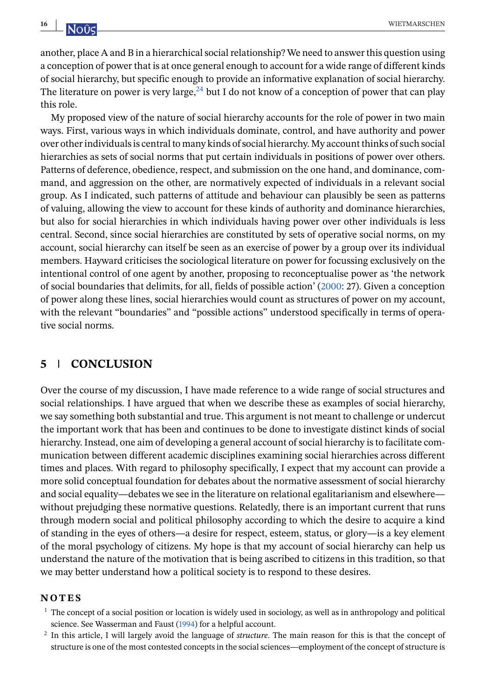<span id="page-15-0"></span>another, place A and B in a hierarchical social relationship? We need to answer this question using a conception of power that is at once general enough to account for a wide range of different kinds of social hierarchy, but specific enough to provide an informative explanation of social hierarchy. The literature on power is very large[,](#page-17-0)  $^{24}$  but I do not know of a conception of power that can play this role.

My proposed view of the nature of social hierarchy accounts for the role of power in two main ways. First, various ways in which individuals dominate, control, and have authority and power over other individuals is central to many kinds of social hierarchy. My account thinks of such social hierarchies as sets of social norms that put certain individuals in positions of power over others. Patterns of deference, obedience, respect, and submission on the one hand, and dominance, command, and aggression on the other, are normatively expected of individuals in a relevant social group. As I indicated, such patterns of attitude and behaviour can plausibly be seen as patterns of valuing, allowing the view to account for these kinds of authority and dominance hierarchies, but also for social hierarchies in which individuals having power over other individuals is less central. Second, since social hierarchies are constituted by sets of operative social norms, on my account, social hierarchy can itself be seen as an exercise of power by a group over its individual members. Hayward criticises the sociological literature on power for focussing exclusively on the intentional control of one agent by another, proposing to reconceptualise power as 'the network of social boundaries that delimits, for all, fields of possible action' [\(2000:](#page-18-0) 27). Given a conception of power along these lines, social hierarchies would count as structures of power on my account, with the relevant "boundaries" and "possible actions" understood specifically in terms of operative social norms.

## **5 CONCLUSION**

Over the course of my discussion, I have made reference to a wide range of social structures and social relationships. I have argued that when we describe these as examples of social hierarchy, we say something both substantial and true. This argument is not meant to challenge or undercut the important work that has been and continues to be done to investigate distinct kinds of social hierarchy. Instead, one aim of developing a general account of social hierarchy is to facilitate communication between different academic disciplines examining social hierarchies across different times and places. With regard to philosophy specifically, I expect that my account can provide a more solid conceptual foundation for debates about the normative assessment of social hierarchy and social equality—debates we see in the literature on relational egalitarianism and elsewhere without prejudging these normative questions. Relatedly, there is an important current that runs through modern social and political philosophy according to which the desire to acquire a kind of standing in the eyes of others—a desire for respect, esteem, status, or glory—is a key element of the moral psychology of citizens. My hope is that my account of social hierarchy can help us understand the nature of the motivation that is being ascribed to citizens in this tradition, so that we may better understand how a political society is to respond to these desires.

#### **NOTES**

- $<sup>1</sup>$  The concept of a social position or location is widely used in sociology, as well as in anthropology and political</sup> science. See Wasserman and Faust [\(1994\)](#page-19-0) for a helpful account.
- <sup>2</sup> In this article, I will largely avoid the language of *structure*. The main reason for this is that the concept of structure is one of the most contested concepts in the social sciences—employment of the concept of structure is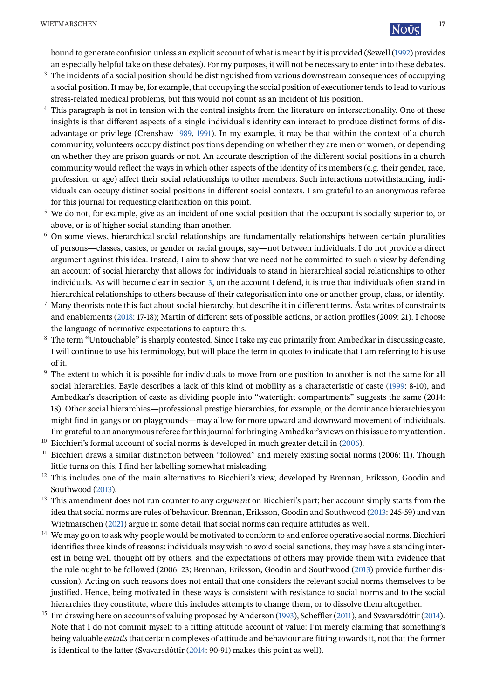<span id="page-16-0"></span>bound to generate confusion unless an explicit account of what is meant by it is provided (Sewell [\(1992\)](#page-19-0) provides an especially helpful take on these debates). For my purposes, it will not be necessary to enter into these debates.

- <sup>3</sup> The incidents of a social position should be distinguished from various downstream consequences of occupying a social position. It may be, for example, that occupying the social position of executioner tends to lead to various stress-related medical problems, but this would not count as an incident of his position.
- This paragraph is not in tension with the central insights from the literature on intersectionality. One of these insights is that different aspects of a single individual's identity can interact to produce distinct forms of disadvantage or privilege (Crenshaw [1989,](#page-18-0) [1991\)](#page-18-0). In my example, it may be that within the context of a church community, volunteers occupy distinct positions depending on whether they are men or women, or depending on whether they are prison guards or not. An accurate description of the different social positions in a church community would reflect the ways in which other aspects of the identity of its members (e.g. their gender, race, profession, or age) affect their social relationships to other members. Such interactions notwithstanding, individuals can occupy distinct social positions in different social contexts. I am grateful to an anonymous referee for this journal for requesting clarification on this point.
- <sup>5</sup> We do not, for example, give as an incident of one social position that the occupant is socially superior to, or above, or is of higher social standing than another.
- <sup>6</sup> On some views, hierarchical social relationships are fundamentally relationships between certain pluralities of persons—classes, castes, or gender or racial groups, say—not between individuals. I do not provide a direct argument against this idea. Instead, I aim to show that we need not be committed to such a view by defending an account of social hierarchy that allows for individuals to stand in hierarchical social relationships to other individuals. As will become clear in section [3,](#page-3-0) on the account I defend, it is true that individuals often stand in hierarchical relationships to others because of their categorisation into one or another group, class, or identity.
- <sup>7</sup> Many theorists note this fact about social hierarchy, but describe it in different terms. Ásta writes of constraints and enablements [\(2018:](#page-18-0) 17-18); Martin of different sets of possible actions, or action profiles (2009: 21). I choose the language of normative expectations to capture this.
- <sup>8</sup> The term "Untouchable" is sharply contested. Since I take my cue primarily from Ambedkar in discussing caste, I will continue to use his terminology, but will place the term in quotes to indicate that I am referring to his use of it.
- <sup>9</sup> The extent to which it is possible for individuals to move from one position to another is not the same for all social hierarchies. Bayle describes a lack of this kind of mobility as a characteristic of caste [\(1999:](#page-18-0) 8-10), and Ambedkar's description of caste as dividing people into "watertight compartments" suggests the same (2014: 18). Other social hierarchies—professional prestige hierarchies, for example, or the dominance hierarchies you might find in gangs or on playgrounds—may allow for more upward and downward movement of individuals. I'm grateful to an anonymous referee for this journal for bringing Ambedkar's views on this issue to my attention.
- <sup>10</sup> Bicchieri's formal account of social norms is developed in much greater detail in [\(2006\)](#page-18-0).
- $11$  Bicchieri draws a similar distinction between "followed" and merely existing social norms (2006: 11). Though little turns on this, I find her labelling somewhat misleading.
- $12$  This includes one of the main alternatives to Bicchieri's view, developed by Brennan, Eriksson, Goodin and Southwood [\(2013\)](#page-18-0).
- <sup>13</sup> This amendment does not run counter to any *argument* on Bicchieri's part; her account simply starts from the idea that social norms are rules of behaviour. Brennan, Eriksson, Goodin and Southwood [\(2013:](#page-18-0) 245-59) and van Wietmarschen [\(2021\)](#page-19-0) argue in some detail that social norms can require attitudes as well.
- <sup>14</sup> We may go on to ask why people would be motivated to conform to and enforce operative social norms. Bicchieri identifies three kinds of reasons: individuals may wish to avoid social sanctions, they may have a standing interest in being well thought off by others, and the expectations of others may provide them with evidence that the rule ought to be followed (2006: 23; Brennan, Eriksson, Goodin and Southwood [\(2013\)](#page-18-0) provide further discussion). Acting on such reasons does not entail that one considers the relevant social norms themselves to be justified. Hence, being motivated in these ways is consistent with resistance to social norms and to the social hierarchies they constitute, where this includes attempts to change them, or to dissolve them altogether.
- <sup>15</sup> I'm drawing here on accounts of valuing proposed by Anderson [\(1993\)](#page-17-0), Scheffler [\(2011\)](#page-18-0), and Svavarsdóttir [\(2014\)](#page-19-0). Note that I do not commit myself to a fitting attitude account of value: I'm merely claiming that something's being valuable *entails* that certain complexes of attitude and behaviour are fitting towards it, not that the former is identical to the latter (Svavarsdóttir [\(2014:](#page-19-0) 90-91) makes this point as well).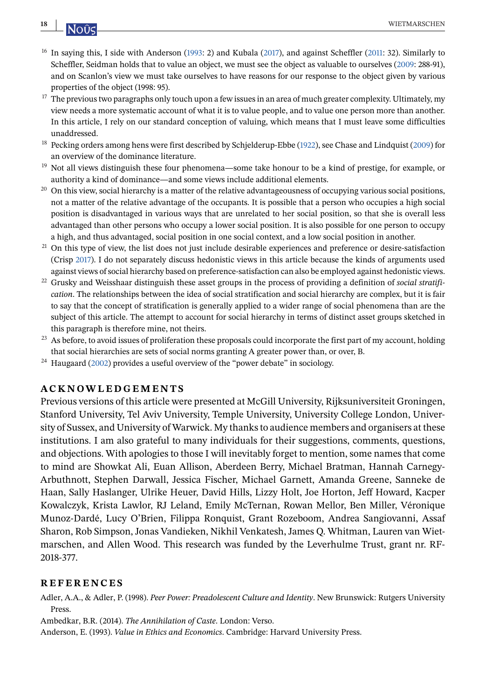- <sup>16</sup> In saying this, I side with Anderson (1993: 2) and Kubala [\(2017\)](#page-18-0), and against Scheffler [\(2011:](#page-18-0) 32). Similarly to Scheffler, Seidman holds that to value an object, we must see the object as valuable to ourselves [\(2009:](#page-19-0) 288-91), and on Scanlon's view we must take ourselves to have reasons for our response to the object given by various properties of the object (1998: 95).
- $17$  The previous two paragraphs only touch upon a few issues in an area of much greater complexity. Ultimately, my view needs a more systematic account of what it is to value people, and to value one person more than another. In this article, I rely on our standard conception of valuing, which means that I must leave some difficulties unaddressed.
- <sup>18</sup> Pecking orders among hens were first described by Schjelderup-Ebbe [\(1922\)](#page-19-0), see Chase and Lindquist [\(2009\)](#page-18-0) for an overview of the dominance literature.
- <sup>19</sup> Not all views distinguish these four phenomena—some take honour to be a kind of prestige, for example, or authority a kind of dominance—and some views include additional elements.
- $20$  On this view, social hierarchy is a matter of the relative advantageousness of occupying various social positions, not a matter of the relative advantage of the occupants. It is possible that a person who occupies a high social position is disadvantaged in various ways that are unrelated to her social position, so that she is overall less advantaged than other persons who occupy a lower social position. It is also possible for one person to occupy a high, and thus advantaged, social position in one social context, and a low social position in another.
- <sup>21</sup> On this type of view, the list does not just include desirable experiences and preference or desire-satisfaction (Crisp [2017\)](#page-18-0). I do not separately discuss hedonistic views in this article because the kinds of arguments used against views of social hierarchy based on preference-satisfaction can also be employed against hedonistic views.
- <sup>22</sup> Grusky and Weisshaar distinguish these asset groups in the process of providing a definition of *social stratification*. The relationships between the idea of social stratification and social hierarchy are complex, but it is fair to say that the concept of stratification is generally applied to a wider range of social phenomena than are the subject of this article. The attempt to account for social hierarchy in terms of distinct asset groups sketched in this paragraph is therefore mine, not theirs.
- <sup>23</sup> As before, to avoid issues of proliferation these proposals could incorporate the first part of my account, holding that social hierarchies are sets of social norms granting A greater power than, or over, B.
- $24$  Haugaard [\(2002\)](#page-18-0) provides a useful overview of the "power debate" in sociology.

## **ACKNOWLEDGEMENTS**

Previous versions of this article were presented at McGill University, Rijksuniversiteit Groningen, Stanford University, Tel Aviv University, Temple University, University College London, University of Sussex, and University of Warwick. My thanks to audience members and organisers at these institutions. I am also grateful to many individuals for their suggestions, comments, questions, and objections. With apologies to those I will inevitably forget to mention, some names that come to mind are Showkat Ali, Euan Allison, Aberdeen Berry, Michael Bratman, Hannah Carnegy-Arbuthnott, Stephen Darwall, Jessica Fischer, Michael Garnett, Amanda Greene, Sanneke de Haan, Sally Haslanger, Ulrike Heuer, David Hills, Lizzy Holt, Joe Horton, Jeff Howard, Kacper Kowalczyk, Krista Lawlor, RJ Leland, Emily McTernan, Rowan Mellor, Ben Miller, Véronique Munoz-Dardé, Lucy O'Brien, Filippa Ronquist, Grant Rozeboom, Andrea Sangiovanni, Assaf Sharon, Rob Simpson, Jonas Vandieken, Nikhil Venkatesh, James Q. Whitman, Lauren van Wietmarschen, and Allen Wood. This research was funded by the Leverhulme Trust, grant nr. RF-2018-377.

#### **REFERENCES**

Adler, A.A., & Adler, P. (1998). *Peer Power: Preadolescent Culture and Identity*. New Brunswick: Rutgers University Press.

Ambedkar, B.R. (2014). *The Annihilation of Caste*. London: Verso.

Anderson, E. (1993). *Value in Ethics and Economics*. Cambridge: Harvard University Press.

<span id="page-17-0"></span>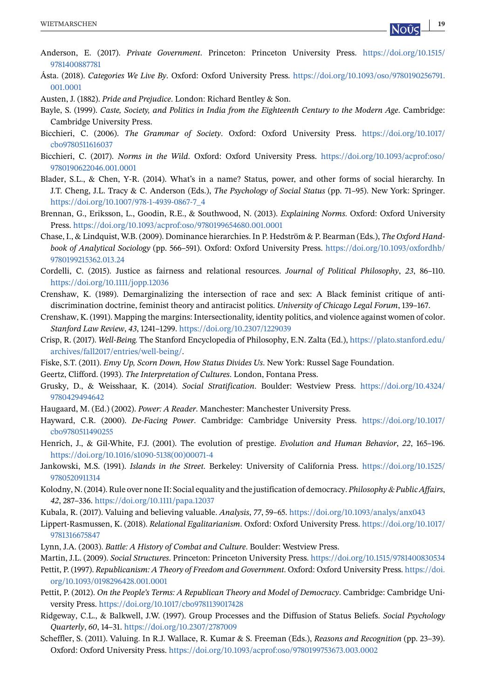- <span id="page-18-0"></span>Anderson, E. (2017). *Private Government*. Princeton: Princeton University Press. [https://doi.org/10.1515/](https://doi.org/10.1515/9781400887781) [9781400887781](https://doi.org/10.1515/9781400887781)
- Ásta. (2018). *Categories We Live By*. Oxford: Oxford University Press. [https://doi.org/10.1093/oso/9780190256791.](https://doi.org/10.1093/oso/9780190256791.001.0001) [001.0001](https://doi.org/10.1093/oso/9780190256791.001.0001)

Austen, J. (1882). *Pride and Prejudice*. London: Richard Bentley & Son.

- Bayle, S. (1999). *Caste, Society, and Politics in India from the Eighteenth Century to the Modern Age*. Cambridge: Cambridge University Press.
- Bicchieri, C. (2006). *The Grammar of Society*. Oxford: Oxford University Press. [https://doi.org/10.1017/](https://doi.org/10.1017/cbo9780511616037) [cbo9780511616037](https://doi.org/10.1017/cbo9780511616037)
- Bicchieri, C. (2017). *Norms in the Wild*. Oxford: Oxford University Press. [https://doi.org/10.1093/acprof:oso/](https://doi.org/10.1093/acprof:oso/9780190622046.001.0001) [9780190622046.001.0001](https://doi.org/10.1093/acprof:oso/9780190622046.001.0001)
- Blader, S.L., & Chen, Y-R. (2014). What's in a name? Status, power, and other forms of social hierarchy. In J.T. Cheng, J.L. Tracy & C. Anderson (Eds.), *The Psychology of Social Status* (pp. 71–95). New York: Springer. [https://doi.org/10.1007/978-1-4939-0867-7\\_4](https://doi.org/10.1007/978-1-4939-0867-7_4)
- Brennan, G., Eriksson, L., Goodin, R.E., & Southwood, N. (2013). *Explaining Norms*. Oxford: Oxford University Press. <https://doi.org/10.1093/acprof:oso/9780199654680.001.0001>
- Chase, I., & Lindquist, W.B. (2009). Dominance hierarchies. In P. Hedström & P. Bearman (Eds.), *The Oxford Handbook of Analytical Sociology* (pp. 566–591). Oxford: Oxford University Press. [https://doi.org/10.1093/oxfordhb/](https://doi.org/10.1093/oxfordhb/9780199215362.013.24) [9780199215362.013.24](https://doi.org/10.1093/oxfordhb/9780199215362.013.24)
- Cordelli, C. (2015). Justice as fairness and relational resources. *Journal of Political Philosophy*, *23*, 86–110. <https://doi.org/10.1111/jopp.12036>
- Crenshaw, K. (1989). Demarginalizing the intersection of race and sex: A Black feminist critique of antidiscrimination doctrine, feminist theory and antiracist politics. *University of Chicago Legal Forum*, 139–167.
- Crenshaw, K. (1991). Mapping the margins: Intersectionality, identity politics, and violence against women of color. *Stanford Law Review*, *43*, 1241–1299. <https://doi.org/10.2307/1229039>
- Crisp, R. (2017). *Well-Being.* The Stanford Encyclopedia of Philosophy, E.N. Zalta (Ed.), [https://plato.stanford.edu/](https://plato.stanford.edu/archives/fall2017/entries/well-being/) [archives/fall2017/entries/well-being/.](https://plato.stanford.edu/archives/fall2017/entries/well-being/)
- Fiske, S.T. (2011). *Envy Up, Scorn Down, How Status Divides Us*. New York: Russel Sage Foundation.
- Geertz, Clifford. (1993). *The Interpretation of Cultures*. London, Fontana Press.
- Grusky, D., & Weisshaar, K. (2014). *Social Stratification*. Boulder: Westview Press. [https://doi.org/10.4324/](https://doi.org/10.4324/9780429494642) [9780429494642](https://doi.org/10.4324/9780429494642)
- Haugaard, M. (Ed.) (2002). *Power: A Reader*. Manchester: Manchester University Press.
- Hayward, C.R. (2000). *De-Facing Power*. Cambridge: Cambridge University Press. [https://doi.org/10.1017/](https://doi.org/10.1017/cbo9780511490255) [cbo9780511490255](https://doi.org/10.1017/cbo9780511490255)
- Henrich, J., & Gil-White, F.J. (2001). The evolution of prestige. *Evolution and Human Behavior*, *22*, 165–196. [https://doi.org/10.1016/s1090-5138\(00\)00071-4](https://doi.org/10.1016/s1090-5138(00)00071-4)
- Jankowski, M.S. (1991). *Islands in the Street*. Berkeley: University of California Press. [https://doi.org/10.1525/](https://doi.org/10.1525/9780520911314) [9780520911314](https://doi.org/10.1525/9780520911314)
- Kolodny, N. (2014). Rule over none II: Social equality and the justification of democracy. *Philosophy & Public Affairs*, *42*, 287–336. <https://doi.org/10.1111/papa.12037>
- Kubala, R. (2017). Valuing and believing valuable. *Analysis*, *77*, 59–65. <https://doi.org/10.1093/analys/anx043>
- Lippert-Rasmussen, K. (2018). *Relational Egalitarianism*. Oxford: Oxford University Press. [https://doi.org/10.1017/](https://doi.org/10.1017/9781316675847) [9781316675847](https://doi.org/10.1017/9781316675847)
- Lynn, J.A. (2003). *Battle: A History of Combat and Culture*. Boulder: Westview Press.
- Martin, J.L. (2009). *Social Structures*. Princeton: Princeton University Press. <https://doi.org/10.1515/9781400830534>
- Pettit, P. (1997). *Republicanism: A Theory of Freedom and Government*. Oxford: Oxford University Press. [https://doi.](https://doi.org/10.1093/0198296428.001.0001) [org/10.1093/0198296428.001.0001](https://doi.org/10.1093/0198296428.001.0001)
- Pettit, P. (2012). *On the People's Terms: A Republican Theory and Model of Democracy*. Cambridge: Cambridge University Press. <https://doi.org/10.1017/cbo9781139017428>
- Ridgeway, C.L., & Balkwell, J.W. (1997). Group Processes and the Diffusion of Status Beliefs. *Social Psychology Quarterly*, *60*, 14–31. <https://doi.org/10.2307/2787009>
- Scheffler, S. (2011). Valuing. In R.J. Wallace, R. Kumar & S. Freeman (Eds.), *Reasons and Recognition* (pp. 23–39). Oxford: Oxford University Press. <https://doi.org/10.1093/acprof:oso/9780199753673.003.0002>